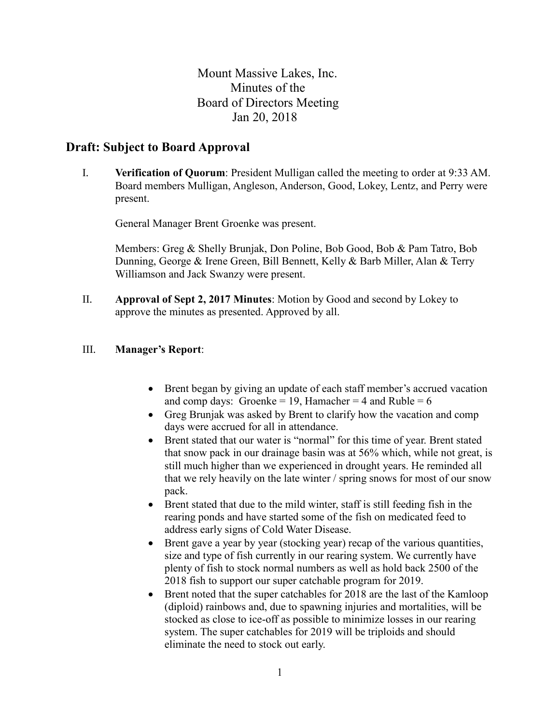Mount Massive Lakes, Inc. Minutes of the Board of Directors Meeting Jan 20, 2018

# **Draft: Subject to Board Approval**

I. **Verification of Quorum**: President Mulligan called the meeting to order at 9:33 AM. Board members Mulligan, Angleson, Anderson, Good, Lokey, Lentz, and Perry were present.

General Manager Brent Groenke was present.

Members: Greg & Shelly Brunjak, Don Poline, Bob Good, Bob & Pam Tatro, Bob Dunning, George & Irene Green, Bill Bennett, Kelly & Barb Miller, Alan & Terry Williamson and Jack Swanzy were present.

II. **Approval of Sept 2, 2017 Minutes**: Motion by Good and second by Lokey to approve the minutes as presented. Approved by all.

#### III. **Manager's Report**:

- Brent began by giving an update of each staff member's accrued vacation and comp days: Groenke = 19, Hamacher = 4 and Ruble =  $6$
- Greg Brunjak was asked by Brent to clarify how the vacation and comp days were accrued for all in attendance.
- Brent stated that our water is "normal" for this time of year. Brent stated that snow pack in our drainage basin was at 56% which, while not great, is still much higher than we experienced in drought years. He reminded all that we rely heavily on the late winter / spring snows for most of our snow pack.
- Brent stated that due to the mild winter, staff is still feeding fish in the rearing ponds and have started some of the fish on medicated feed to address early signs of Cold Water Disease.
- Brent gave a year by year (stocking year) recap of the various quantities, size and type of fish currently in our rearing system. We currently have plenty of fish to stock normal numbers as well as hold back 2500 of the 2018 fish to support our super catchable program for 2019.
- Brent noted that the super catchables for 2018 are the last of the Kamloop (diploid) rainbows and, due to spawning injuries and mortalities, will be stocked as close to ice-off as possible to minimize losses in our rearing system. The super catchables for 2019 will be triploids and should eliminate the need to stock out early.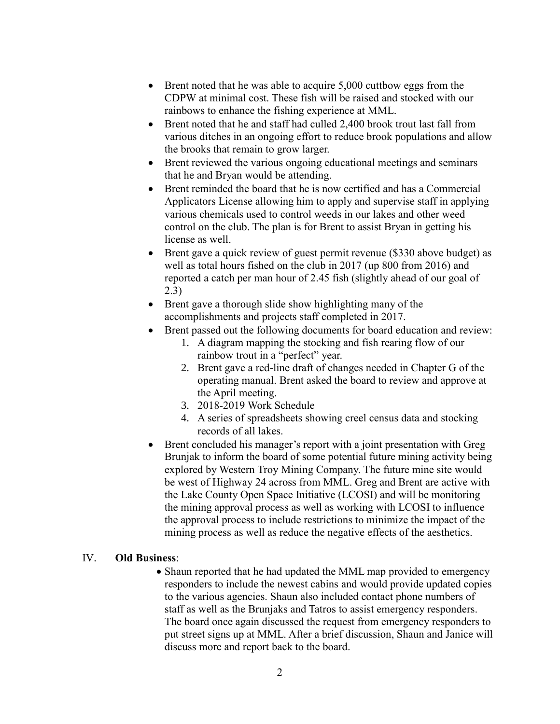- Brent noted that he was able to acquire 5,000 cuttbow eggs from the CDPW at minimal cost. These fish will be raised and stocked with our rainbows to enhance the fishing experience at MML.
- Brent noted that he and staff had culled 2,400 brook trout last fall from various ditches in an ongoing effort to reduce brook populations and allow the brooks that remain to grow larger.
- Brent reviewed the various ongoing educational meetings and seminars that he and Bryan would be attending.
- Brent reminded the board that he is now certified and has a Commercial Applicators License allowing him to apply and supervise staff in applying various chemicals used to control weeds in our lakes and other weed control on the club. The plan is for Brent to assist Bryan in getting his license as well.
- Brent gave a quick review of guest permit revenue (\$330 above budget) as well as total hours fished on the club in 2017 (up 800 from 2016) and reported a catch per man hour of 2.45 fish (slightly ahead of our goal of 2.3)
- Brent gave a thorough slide show highlighting many of the accomplishments and projects staff completed in 2017.
- Brent passed out the following documents for board education and review:
	- 1. A diagram mapping the stocking and fish rearing flow of our rainbow trout in a "perfect" year.
	- 2. Brent gave a red-line draft of changes needed in Chapter G of the operating manual. Brent asked the board to review and approve at the April meeting.
	- 3. 2018-2019 Work Schedule
	- 4. A series of spreadsheets showing creel census data and stocking records of all lakes.
- Brent concluded his manager's report with a joint presentation with Greg Brunjak to inform the board of some potential future mining activity being explored by Western Troy Mining Company. The future mine site would be west of Highway 24 across from MML. Greg and Brent are active with the Lake County Open Space Initiative (LCOSI) and will be monitoring the mining approval process as well as working with LCOSI to influence the approval process to include restrictions to minimize the impact of the mining process as well as reduce the negative effects of the aesthetics.

## IV. **Old Business**:

• Shaun reported that he had updated the MML map provided to emergency responders to include the newest cabins and would provide updated copies to the various agencies. Shaun also included contact phone numbers of staff as well as the Brunjaks and Tatros to assist emergency responders. The board once again discussed the request from emergency responders to put street signs up at MML. After a brief discussion, Shaun and Janice will discuss more and report back to the board.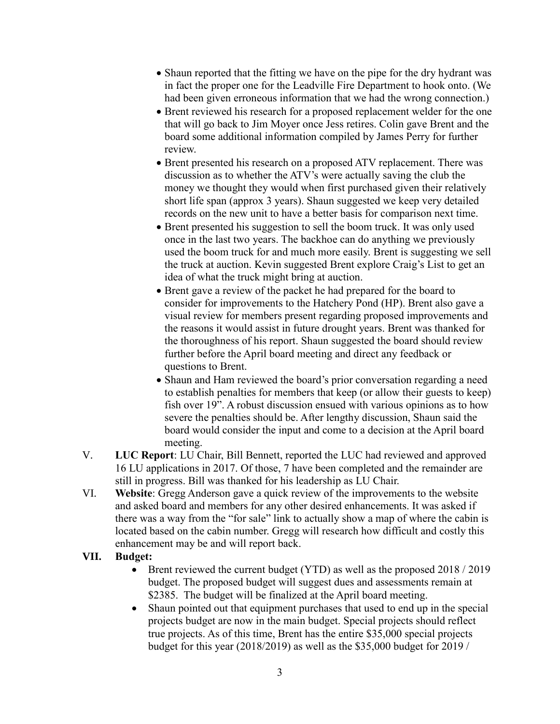- Shaun reported that the fitting we have on the pipe for the dry hydrant was in fact the proper one for the Leadville Fire Department to hook onto. (We had been given erroneous information that we had the wrong connection.)
- Brent reviewed his research for a proposed replacement welder for the one that will go back to Jim Moyer once Jess retires. Colin gave Brent and the board some additional information compiled by James Perry for further review.
- Brent presented his research on a proposed ATV replacement. There was discussion as to whether the ATV's were actually saving the club the money we thought they would when first purchased given their relatively short life span (approx 3 years). Shaun suggested we keep very detailed records on the new unit to have a better basis for comparison next time.
- Brent presented his suggestion to sell the boom truck. It was only used once in the last two years. The backhoe can do anything we previously used the boom truck for and much more easily. Brent is suggesting we sell the truck at auction. Kevin suggested Brent explore Craig's List to get an idea of what the truck might bring at auction.
- Brent gave a review of the packet he had prepared for the board to consider for improvements to the Hatchery Pond (HP). Brent also gave a visual review for members present regarding proposed improvements and the reasons it would assist in future drought years. Brent was thanked for the thoroughness of his report. Shaun suggested the board should review further before the April board meeting and direct any feedback or questions to Brent.
- Shaun and Ham reviewed the board's prior conversation regarding a need to establish penalties for members that keep (or allow their guests to keep) fish over 19". A robust discussion ensued with various opinions as to how severe the penalties should be. After lengthy discussion, Shaun said the board would consider the input and come to a decision at the April board meeting.
- V. **LUC Report**: LU Chair, Bill Bennett, reported the LUC had reviewed and approved 16 LU applications in 2017. Of those, 7 have been completed and the remainder are still in progress. Bill was thanked for his leadership as LU Chair.
- VI. **Website**: Gregg Anderson gave a quick review of the improvements to the website and asked board and members for any other desired enhancements. It was asked if there was a way from the "for sale" link to actually show a map of where the cabin is located based on the cabin number. Gregg will research how difficult and costly this enhancement may be and will report back.

## **VII. Budget:**

- Brent reviewed the current budget (YTD) as well as the proposed 2018 / 2019 budget. The proposed budget will suggest dues and assessments remain at \$2385. The budget will be finalized at the April board meeting.
- Shaun pointed out that equipment purchases that used to end up in the special projects budget are now in the main budget. Special projects should reflect true projects. As of this time, Brent has the entire \$35,000 special projects budget for this year (2018/2019) as well as the \$35,000 budget for 2019 /